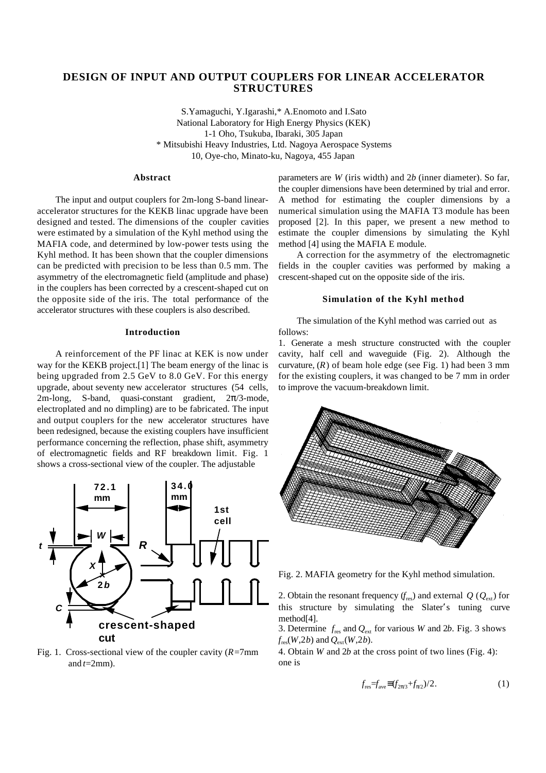# **DESIGN OF INPUT AND OUTPUT COUPLERS FOR LINEAR ACCELERATOR STRUCTURES**

S.Yamaguchi, Y.Igarashi,\* A.Enomoto and I.Sato National Laboratory for High Energy Physics (KEK) 1-1 Oho, Tsukuba, Ibaraki, 305 Japan \* Mitsubishi Heavy Industries, Ltd. Nagoya Aerospace Systems 10, Oye-cho, Minato-ku, Nagoya, 455 Japan

## **Abstract**

The input and output couplers for 2m-long S-band linearaccelerator structures for the KEKB linac upgrade have been designed and tested. The dimensions of the coupler cavities were estimated by a simulation of the Kyhl method using the MAFIA code, and determined by low-power tests using the Kyhl method. It has been shown that the coupler dimensions can be predicted with precision to be less than 0.5 mm. The asymmetry of the electromagnetic field (amplitude and phase) in the couplers has been corrected by a crescent-shaped cut on the opposite side of the iris. The total performance of the accelerator structures with these couplers is also described.

#### **Introduction**

A reinforcement of the PF linac at KEK is now under way for the KEKB project.<sup>[1]</sup> The beam energy of the linac is being upgraded from 2.5 GeV to 8.0 GeV. For this energy upgrade, about seventy new accelerator structures (54 cells, 2m-long, S-band, quasi-constant gradient, 2 /3-mode, electroplated and no dimpling) are to be fabricated. The input and output couplers for the new accelerator structures have been redesigned, because the existing couplers have insufficient performance concerning the reflection, phase shift, asymmetry of electromagnetic fields and RF breakdown limit. Fig. 1 shows a cross-sectional view of the coupler. The adjustable



Fig. 1. Cross-sectional view of the coupler cavity (*R*=7mm and  $t=2$ mm).

parameters are *W* (iris width) and 2*b* (inner diameter). So far, the coupler dimensions have been determined by trial and error. A method for estimating the coupler dimensions by a numerical simulation using the MAFIA T3 module has been proposed [2]. In this paper, we present a new method to estimate the coupler dimensions by simulating the Kyhl method [4] using the MAFIA E module.

A correction for the asymmetry of the electromagnetic fields in the coupler cavities was performed by making a crescent-shaped cut on the opposite side of the iris.

# **Simulation of the Kyhl method**

The simulation of the Kyhl method was carried out as follows:

1. Generate a mesh structure constructed with the coupler cavity, half cell and waveguide (Fig. 2). Although the curvature,  $(R)$  of beam hole edge (see Fig. 1) had been 3 mm for the existing couplers, it was changed to be 7 mm in order to improve the vacuum-breakdown limit.



Fig. 2. MAFIA geometry for the Kyhl method simulation.

2. Obtain the resonant frequency  $(f_{res})$  and external  $Q$  ( $Q_{ext}$ ) for this structure by simulating the Slater's tuning curve method[4].

3. Determine  $f_{\text{res}}$  and  $Q_{\text{ext}}$  for various *W* and 2*b*. Fig. 3 shows  $f_{res}(W,2b)$  and  $Q_{est}(W,2b)$ .

4. Obtain *W* and 2*b* at the cross point of two lines (Fig. 4): one is

$$
f_{\text{res}}=f_{\text{ave}}(f_{2/3}+f_{2})/2.
$$
 (1)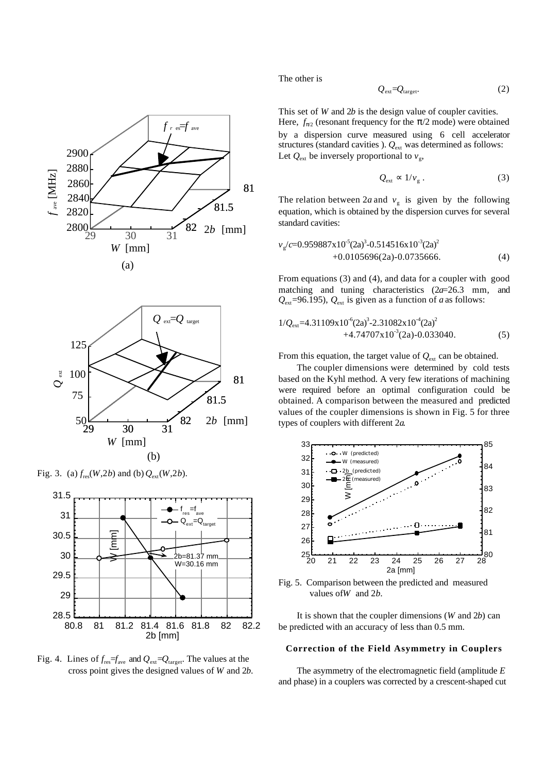

(a)







Fig. 4. Lines of  $f_{\text{res}} = f_{\text{ave}}$  and  $Q_{\text{ext}} = Q_{\text{target}}$ . The values at the cross point gives the designed values of *W* and 2*b*.

The other is

$$
Q_{\text{ext}} = Q_{\text{target}}.\tag{2}
$$

This set of *W* and 2*b* is the design value of coupler cavities. Here,  $f_{2}$  (resonant frequency for the  $/2$  mode) were obtained by a dispersion curve measured using 6 cell accelerator structures (standard cavities ).  $Q_{ext}$  was determined as follows: Let  $Q_{\text{ext}}$  be inversely proportional to  $v_{\text{g}}$ ,

$$
Q_{\text{ext}} \quad 1/v_{\text{g}} \,. \tag{3}
$$

The relation between 2*a* and  $v<sub>g</sub>$  is given by the following equation, which is obtained by the dispersion curves for several standard cavities:

$$
v_g/c=0.959887x10^{-5}(2a)^3-0.514516x10^{-3}(2a)^2
$$
  
+0.0105696(2a)-0.0735666. (4)

From equations (3) and (4), and data for a coupler with good matching and tuning characteristics (2*a*=26.3 mm, and  $Q_{\text{ext}}$ =96.195),  $Q_{\text{ext}}$  is given as a function of *a* as follows:

$$
1/Q_{\text{ext}} = 4.31109 \times 10^{-6} (2a)^3 - 2.31082 \times 10^{-4} (2a)^2 + 4.74707 \times 10^{-3} (2a) - 0.033040.
$$
 (5)

From this equation, the target value of  $Q_{\text{ext}}$  can be obtained.

The coupler dimensions were determined by cold tests based on the Kyhl method. A very few iterations of machining were required before an optimal configuration could be obtained. A comparison between the measured and predicted values of the coupler dimensions is shown in Fig. 5 for three types of couplers with different 2*a*.



Fig. 5. Comparison between the predicted and measured values of*W* and 2*b*.

It is shown that the coupler dimensions (*W* and 2*b*) can be predicted with an accuracy of less than 0.5 mm.

### **Correction of the Field Asymmetry in Couplers**

The asymmetry of the electromagnetic field (amplitude *E* and phase) in a couplers was corrected by a crescent-shaped cut